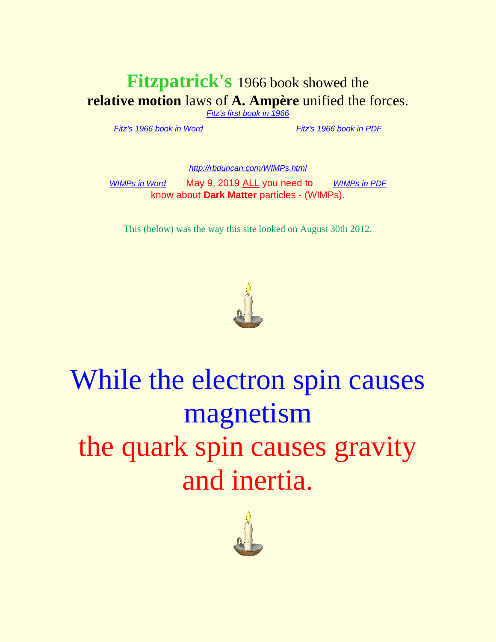## **Fitzpatrick's** 1966 book showed the **relative motion** laws of **A. Ampère** unified the forces.

*[Fitz's first book in 1966](http://rbduncan.com/1966.html)*

*[Fitz's 1966 book in Word](http://rbduncan.com/1966.doc)* . . . . . . . . . . . *[Fitz's 1966 book in PDF](http://rbduncan.com/1966.pdf)*

*<http://rbduncan.com/WIMPs.html>*

*[WIMPs in Word](http://rbduncan.com/WIMPS.doc)* May 9, 2019 ALL you need to [WIMPs in PDF](http://rbduncan.com/WIMPs.pdf) know about **Dark Matter** particles - (WIMPs).

This (below) was the way this site looked on August 30th 2012.



# While the electron spin causes magnetism the quark spin causes gravity and inertia.

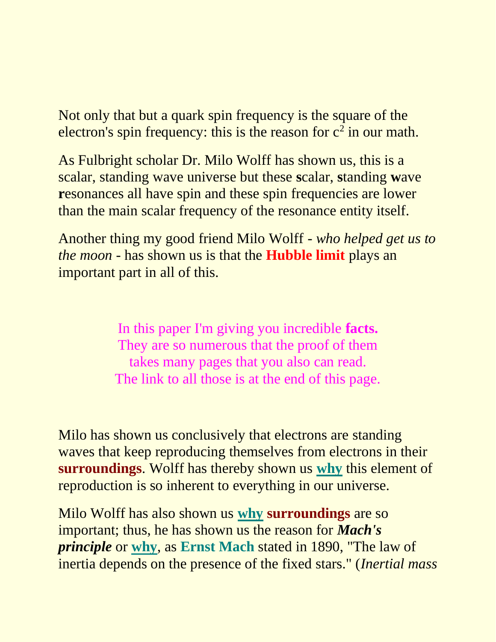Not only that but a quark spin frequency is the square of the electron's spin frequency: this is the reason for  $c^2$  in our math.

As Fulbright scholar Dr. Milo Wolff has shown us, this is a scalar, standing wave universe but these **s**calar, **s**tanding **w**ave **resonances all have spin and these spin frequencies are lower** than the main scalar frequency of the resonance entity itself.

Another thing my good friend Milo Wolff *- who helped get us to the moon -* has shown us is that the **Hubble limit** plays an important part in all of this.

> In this paper I'm giving you incredible **facts.** They are so numerous that the proof of them takes many pages that you also can read. The link to all those is at the end of this page.

Milo has shown us conclusively that electrons are standing waves that keep reproducing themselves from electrons in their **surroundings**. Wolff has thereby shown us **why** this element of reproduction is so inherent to everything in our universe.

Milo Wolff has also shown us **why surroundings** are so important; thus, he has shown us the reason for *Mach's principle* or **why**, as **Ernst Mach** stated in 1890, "The law of inertia depends on the presence of the fixed stars." (*Inertial mass*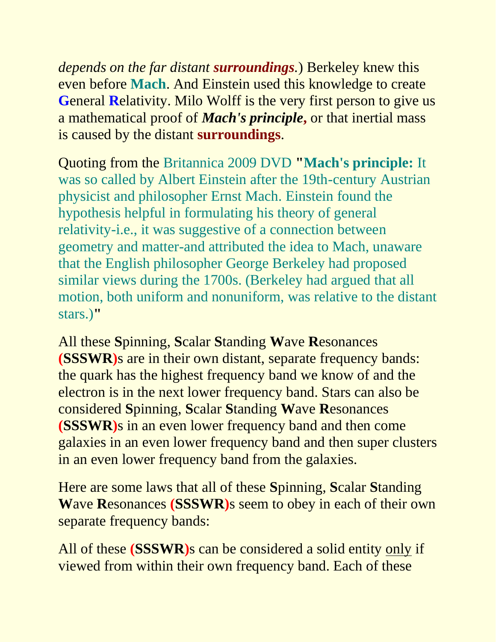*depends on the far distant surroundings.*) Berkeley knew this even before **Mach**. And Einstein used this knowledge to create **G**eneral **R**elativity. Milo Wolff is the very first person to give us a mathematical proof of *Mach's principle***,** or that inertial mass is caused by the distant **surroundings**.

Quoting from the Britannica 2009 DVD **"Mach's principle:** It was so called by Albert Einstein after the 19th-century Austrian physicist and philosopher Ernst Mach. Einstein found the hypothesis helpful in formulating his theory of general relativity-i.e., it was suggestive of a connection between geometry and matter-and attributed the idea to Mach, unaware that the English philosopher George Berkeley had proposed similar views during the 1700s. (Berkeley had argued that all motion, both uniform and nonuniform, was relative to the distant stars.)**"**

All these **S**pinning, **S**calar **S**tanding **W**ave **R**esonances **(SSSWR)**s are in their own distant, separate frequency bands: the quark has the highest frequency band we know of and the electron is in the next lower frequency band. Stars can also be considered **S**pinning, **S**calar **S**tanding **W**ave **R**esonances **(SSSWR)**s in an even lower frequency band and then come galaxies in an even lower frequency band and then super clusters in an even lower frequency band from the galaxies.

Here are some laws that all of these **S**pinning, **S**calar **S**tanding **W**ave **R**esonances **(SSSWR)**s seem to obey in each of their own separate frequency bands:

All of these **(SSSWR)**s can be considered a solid entity only if viewed from within their own frequency band. Each of these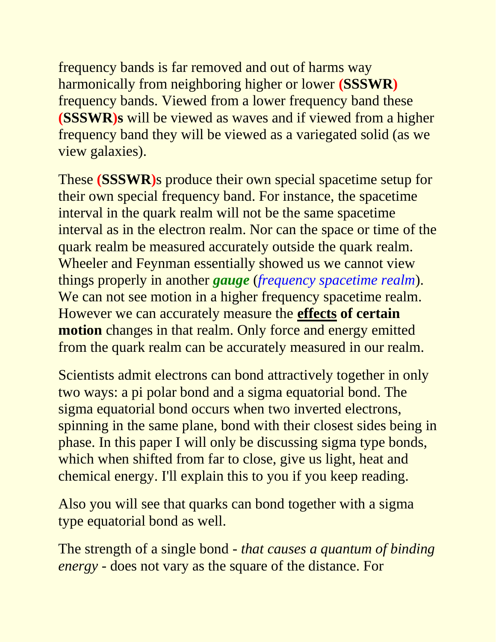frequency bands is far removed and out of harms way harmonically from neighboring higher or lower **(SSSWR)**  frequency bands. Viewed from a lower frequency band these **(SSSWR)s** will be viewed as waves and if viewed from a higher frequency band they will be viewed as a variegated solid (as we view galaxies).

These **(SSSWR)**s produce their own special spacetime setup for their own special frequency band. For instance, the spacetime interval in the quark realm will not be the same spacetime interval as in the electron realm. Nor can the space or time of the quark realm be measured accurately outside the quark realm. Wheeler and Feynman essentially showed us we cannot view things properly in another *gauge* (*frequency spacetime realm*). We can not see motion in a higher frequency spacetime realm. However we can accurately measure the **effects of certain motion** changes in that realm. Only force and energy emitted from the quark realm can be accurately measured in our realm.

Scientists admit electrons can bond attractively together in only two ways: a pi polar bond and a sigma equatorial bond. The sigma equatorial bond occurs when two inverted electrons, spinning in the same plane, bond with their closest sides being in phase. In this paper I will only be discussing sigma type bonds, which when shifted from far to close, give us light, heat and chemical energy. I'll explain this to you if you keep reading.

Also you will see that quarks can bond together with a sigma type equatorial bond as well.

The strength of a single bond *- that causes a quantum of binding energy -* does not vary as the square of the distance. For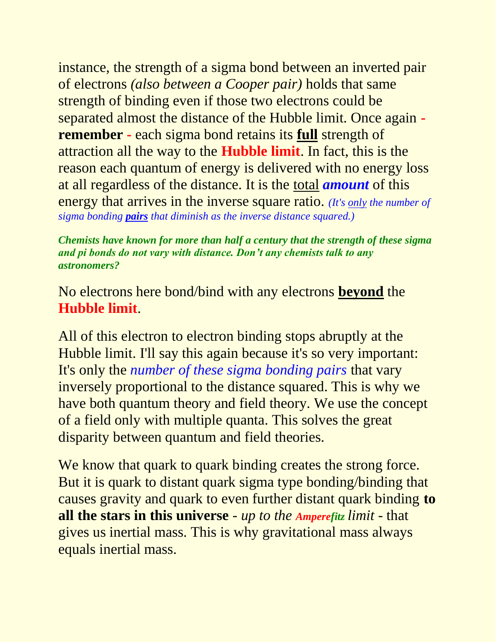instance, the strength of a sigma bond between an inverted pair of electrons *(also between a Cooper pair)* holds that same strength of binding even if those two electrons could be separated almost the distance of the Hubble limit. Once again  **remember -** each sigma bond retains its **full** strength of attraction all the way to the **Hubble limit**. In fact, this is the reason each quantum of energy is delivered with no energy loss at all regardless of the distance. It is the total *amount* of this energy that arrives in the inverse square ratio. *(It's only the number of sigma bonding pairs that diminish as the inverse distance squared.)*

*Chemists have known for more than half a century that the strength of these sigma and pi bonds do not vary with distance. Don't any chemists talk to any astronomers?*

### No electrons here bond/bind with any electrons **beyond** the **Hubble limit**.

All of this electron to electron binding stops abruptly at the Hubble limit. I'll say this again because it's so very important: It's only the *number of these sigma bonding pairs* that vary inversely proportional to the distance squared. This is why we have both quantum theory and field theory. We use the concept of a field only with multiple quanta. This solves the great disparity between quantum and field theories.

We know that quark to quark binding creates the strong force. But it is quark to distant quark sigma type bonding/binding that causes gravity and quark to even further distant quark binding **to all the stars in this universe** *- up to the Amperefitz limit -* that gives us inertial mass. This is why gravitational mass always equals inertial mass.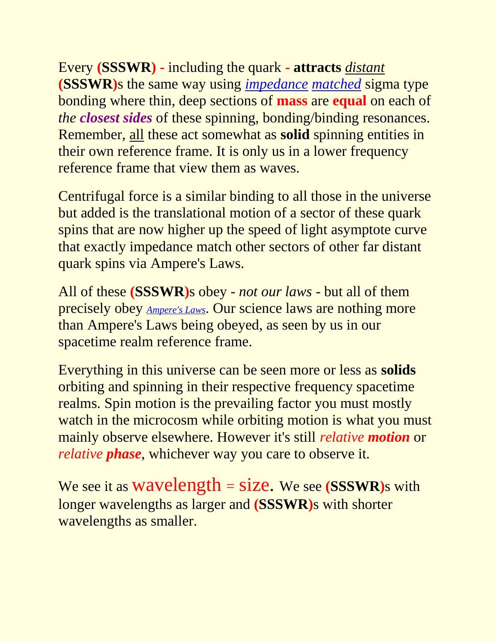Every **(SSSWR) -** including the quark **- attracts** *distant* **(SSSWR)**s the same way using *impedance matched* sigma type bonding where thin, deep sections of **mass** are **equal** on each of *the closest sides* of these spinning, bonding/binding resonances. Remember, all these act somewhat as **solid** spinning entities in their own reference frame. It is only us in a lower frequency reference frame that view them as waves.

Centrifugal force is a similar binding to all those in the universe but added is the translational motion of a sector of these quark spins that are now higher up the speed of light asymptote curve that exactly impedance match other sectors of other far distant quark spins via Ampere's Laws.

All of these **(SSSWR)**s obey *- not our laws -* but all of them precisely obey *[Ampere's Laws](http://www.rbduncan.com/Ampere)*. Our science laws are nothing more than Ampere's Laws being obeyed, as seen by us in our spacetime realm reference frame.

Everything in this universe can be seen more or less as **solids** orbiting and spinning in their respective frequency spacetime realms. Spin motion is the prevailing factor you must mostly watch in the microcosm while orbiting motion is what you must mainly observe elsewhere. However it's still *relative motion* or *relative phase*, whichever way you care to observe it.

We see it as wavelength = size. We see **(SSSWR)**s with longer wavelengths as larger and **(SSSWR)**s with shorter wavelengths as smaller.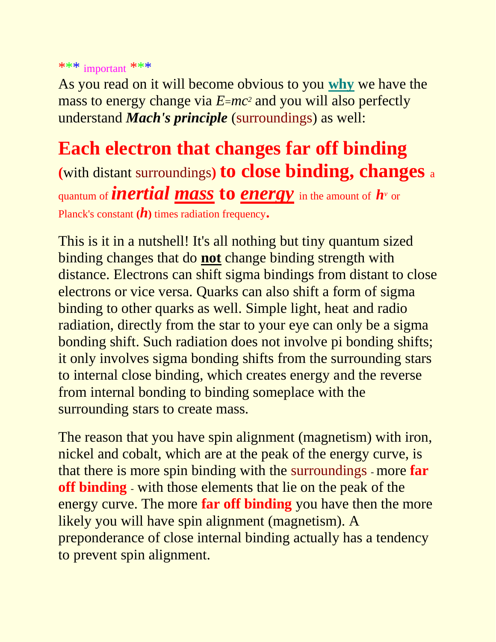\*\*\* important \*\*\*

As you read on it will become obvious to you **why** we have the mass to energy change via  $E=mc^2$  and you will also perfectly understand *Mach's principle* (surroundings) as well:

**Each electron that changes far off binding (**with distant surroundings**) to close binding, changes** <sup>a</sup> quantum of *inertial mass* **to** *energy* in the amount of *h<sup>v</sup>* or Planck's constant **(***h***)** times radiation frequency**.**

This is it in a nutshell! It's all nothing but tiny quantum sized binding changes that do **not** change binding strength with distance. Electrons can shift sigma bindings from distant to close electrons or vice versa. Quarks can also shift a form of sigma binding to other quarks as well. Simple light, heat and radio radiation, directly from the star to your eye can only be a sigma bonding shift. Such radiation does not involve pi bonding shifts; it only involves sigma bonding shifts from the surrounding stars to internal close binding, which creates energy and the reverse from internal bonding to binding someplace with the surrounding stars to create mass.

The reason that you have spin alignment (magnetism) with iron, nickel and cobalt, which are at the peak of the energy curve, is that there is more spin binding with the surroundings - more **far off binding** - with those elements that lie on the peak of the energy curve. The more **far off binding** you have then the more likely you will have spin alignment (magnetism). A preponderance of close internal binding actually has a tendency to prevent spin alignment.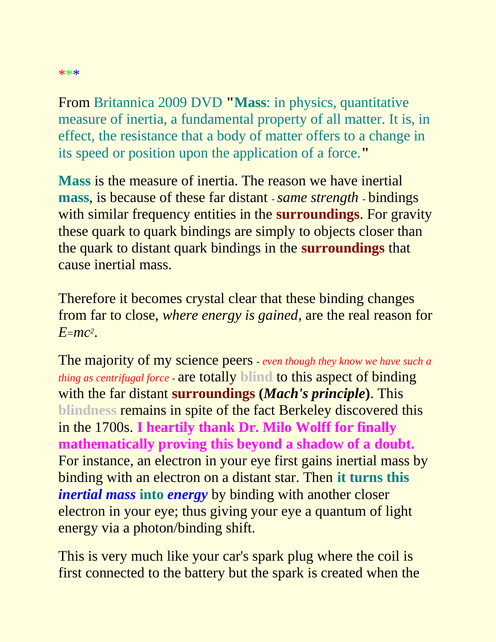## From Britannica 2009 DVD **"Mass**: in physics, quantitative measure of inertia, a fundamental property of all matter. It is, in effect, the resistance that a body of matter offers to a change in its speed or position upon the application of a force.**"**

**Mass** is the measure of inertia. The reason we have inertial **mass**, is because of these far distant -*same strength* - bindings with similar frequency entities in the **surroundings**. For gravity these quark to quark bindings are simply to objects closer than the quark to distant quark bindings in the **surroundings** that cause inertial mass.

Therefore it becomes crystal clear that these binding changes from far to close, *where energy is gained*, are the real reason for *E*=*mc<sup>2</sup>* .

The majority of my science peers - *even though they know we have such a thing as centrifugal force* - are totally **blind** to this aspect of binding with the far distant **surroundings (***Mach's principle***)**. This **blindness** remains in spite of the fact Berkeley discovered this in the 1700s. **I heartily thank Dr. Milo Wolff for finally mathematically proving this beyond a shadow of a doubt.**  For instance, an electron in your eye first gains inertial mass by binding with an electron on a distant star. Then **it turns this** *inertial mass* **into** *energy* by binding with another closer electron in your eye; thus giving your eye a quantum of light energy via a photon/binding shift.

This is very much like your car's spark plug where the coil is first connected to the battery but the spark is created when the

#### \*\*\*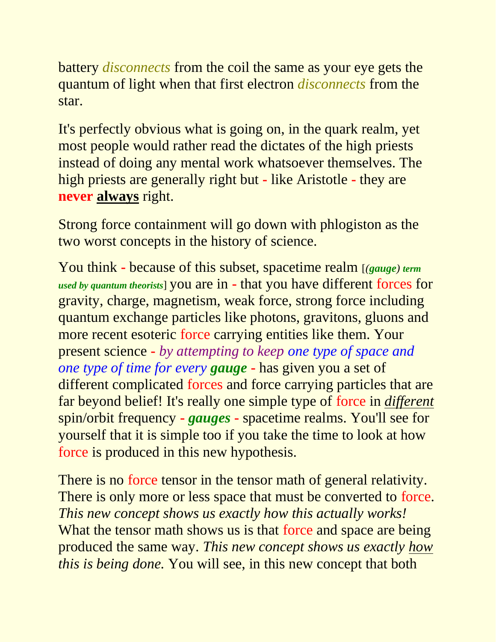battery *disconnects* from the coil the same as your eye gets the quantum of light when that first electron *disconnects* from the star.

It's perfectly obvious what is going on, in the quark realm, yet most people would rather read the dictates of the high priests instead of doing any mental work whatsoever themselves. The high priests are generally right but **-** like Aristotle **-** they are **never always** right.

Strong force containment will go down with phlogiston as the two worst concepts in the history of science.

You think **-** because of this subset, spacetime realm [*(gauge) term used by quantum theorists*] you are in **-** that you have different forces for gravity, charge, magnetism, weak force, strong force including quantum exchange particles like photons, gravitons, gluons and more recent esoteric force carrying entities like them. Your present science **-** *by attempting to keep one type of space and one type of time for every gauge* **-** has given you a set of different complicated forces and force carrying particles that are far beyond belief! It's really one simple type of force in *different* spin/orbit frequency **-** *gauges* **-** spacetime realms. You'll see for yourself that it is simple too if you take the time to look at how force is produced in this new hypothesis.

There is no force tensor in the tensor math of general relativity. There is only more or less space that must be converted to force. *This new concept shows us exactly how this actually works!* What the tensor math shows us is that force and space are being produced the same way. *This new concept shows us exactly how this is being done.* You will see, in this new concept that both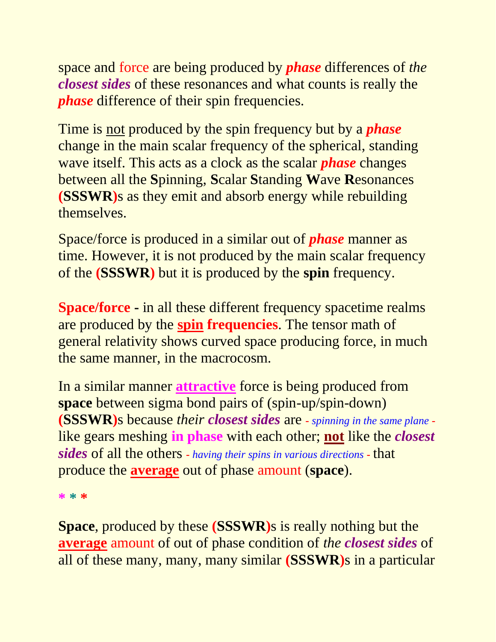space and force are being produced by *phase* differences of *the closest sides* of these resonances and what counts is really the *phase* difference of their spin frequencies.

Time is not produced by the spin frequency but by a *phase* change in the main scalar frequency of the spherical, standing wave itself. This acts as a clock as the scalar *phase* changes between all the **S**pinning, **S**calar **S**tanding **W**ave **R**esonances **(SSSWR)**s as they emit and absorb energy while rebuilding themselves.

Space/force is produced in a similar out of *phase* manner as time. However, it is not produced by the main scalar frequency of the **(SSSWR)** but it is produced by the **spin** frequency.

**Space/force -** in all these different frequency spacetime realms are produced by the **spin frequencies**. The tensor math of general relativity shows curved space producing force, in much the same manner, in the macrocosm.

In a similar manner **attractive** force is being produced from **space** between sigma bond pairs of (spin-up/spin-down) **(SSSWR)**s because *their closest sides* are **-** *spinning in the same plane*  like gears meshing **in phase** with each other; **not** like the *closest sides* of all the others **-** *having their spins in various directions* **-** that produce the **average** out of phase amount (**space**).

**\* \* \***

**Space**, produced by these **(SSSWR)**s is really nothing but the **average** amount of out of phase condition of *the closest sides* of all of these many, many, many similar **(SSSWR)**s in a particular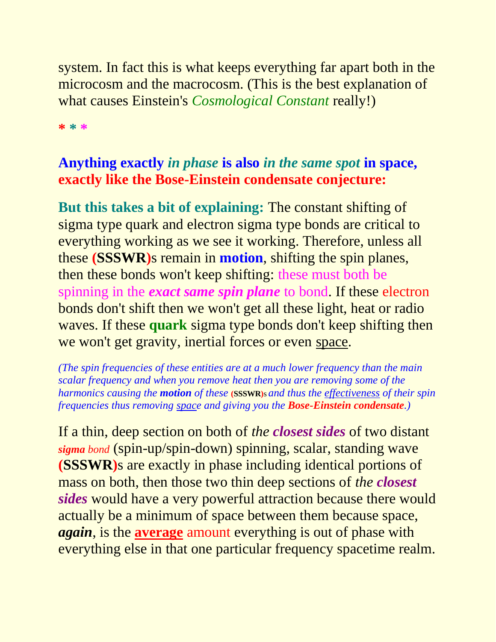system. In fact this is what keeps everything far apart both in the microcosm and the macrocosm. (This is the best explanation of what causes Einstein's *Cosmological Constant* really!)

**\* \* \***

## **Anything exactly** *in phase* **is also** *in the same spot* **in space, exactly like the Bose-Einstein condensate conjecture:**

**But this takes a bit of explaining:** The constant shifting of sigma type quark and electron sigma type bonds are critical to everything working as we see it working. Therefore, unless all these **(SSSWR)**s remain in **motion**, shifting the spin planes, then these bonds won't keep shifting: these must both be spinning in the *exact same spin plane* to bond. If these electron bonds don't shift then we won't get all these light, heat or radio waves. If these **quark** sigma type bonds don't keep shifting then we won't get gravity, inertial forces or even space.

*(The spin frequencies of these entities are at a much lower frequency than the main scalar frequency and when you remove heat then you are removing some of the harmonics causing the motion of these* **(SSSWR)**s *and thus the effectiveness of their spin frequencies thus removing space and giving you the Bose-Einstein condensate.)*

If a thin, deep section on both of *the closest sides* of two distant *sigma bond* (spin-up/spin-down) spinning, scalar, standing wave **(SSSWR)**s are exactly in phase including identical portions of mass on both, then those two thin deep sections of *the closest sides* would have a very powerful attraction because there would actually be a minimum of space between them because space, *again*, is the **average** amount everything is out of phase with everything else in that one particular frequency spacetime realm.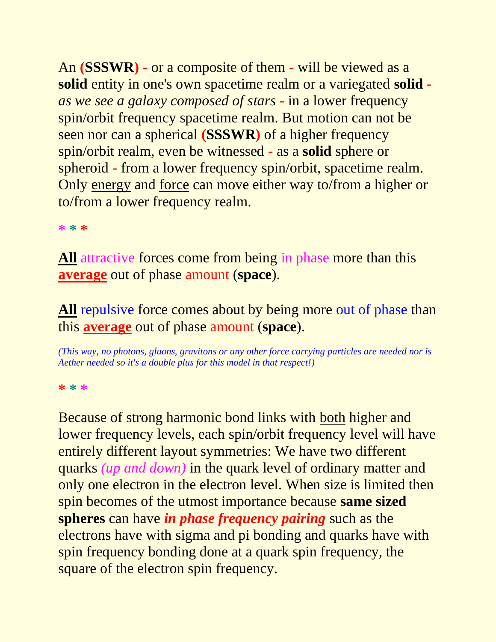An **(SSSWR) -** or a composite of them **-** will be viewed as a **solid** entity in one's own spacetime realm or a variegated **solid**  *as we see a galaxy composed of stars* **-** in a lower frequency spin/orbit frequency spacetime realm. But motion can not be seen nor can a spherical **(SSSWR)** of a higher frequency spin/orbit realm, even be witnessed **-** as a **solid** sphere or spheroid **-** from a lower frequency spin/orbit, spacetime realm. Only energy and force can move either way to/from a higher or to/from a lower frequency realm.

**\* \* \***

**All** attractive forces come from being in phase more than this **average** out of phase amount (**space**).

All repulsive force comes about by being more out of phase than this **average** out of phase amount (**space**).

*(This way, no photons, gluons, gravitons or any other force carrying particles are needed nor is Aether needed so it's a double plus for this model in that respect!)*

**\* \* \***

Because of strong harmonic bond links with both higher and lower frequency levels, each spin/orbit frequency level will have entirely different layout symmetries: We have two different quarks *(up and down)* in the quark level of ordinary matter and only one electron in the electron level. When size is limited then spin becomes of the utmost importance because **same sized spheres** can have *in phase frequency pairing* such as the electrons have with sigma and pi bonding and quarks have with spin frequency bonding done at a quark spin frequency, the square of the electron spin frequency.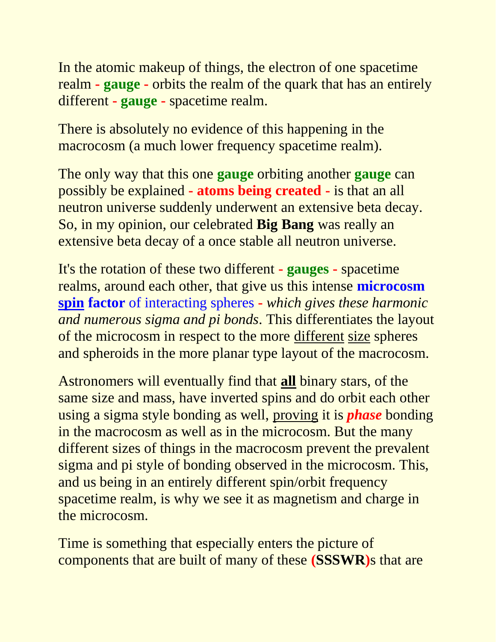In the atomic makeup of things, the electron of one spacetime realm **- gauge -** orbits the realm of the quark that has an entirely different **- gauge -** spacetime realm.

There is absolutely no evidence of this happening in the macrocosm (a much lower frequency spacetime realm).

The only way that this one **gauge** orbiting another **gauge** can possibly be explained **- atoms being created -** is that an all neutron universe suddenly underwent an extensive beta decay. So, in my opinion, our celebrated **Big Bang** was really an extensive beta decay of a once stable all neutron universe.

It's the rotation of these two different **- gauges -** spacetime realms, around each other, that give us this intense **microcosm spin factor** of interacting spheres **-** *which gives these harmonic and numerous sigma and pi bonds*. This differentiates the layout of the microcosm in respect to the more different size spheres and spheroids in the more planar type layout of the macrocosm.

Astronomers will eventually find that **all** binary stars, of the same size and mass, have inverted spins and do orbit each other using a sigma style bonding as well, proving it is *phase* bonding in the macrocosm as well as in the microcosm. But the many different sizes of things in the macrocosm prevent the prevalent sigma and pi style of bonding observed in the microcosm. This, and us being in an entirely different spin/orbit frequency spacetime realm, is why we see it as magnetism and charge in the microcosm.

Time is something that especially enters the picture of components that are built of many of these **(SSSWR)**s that are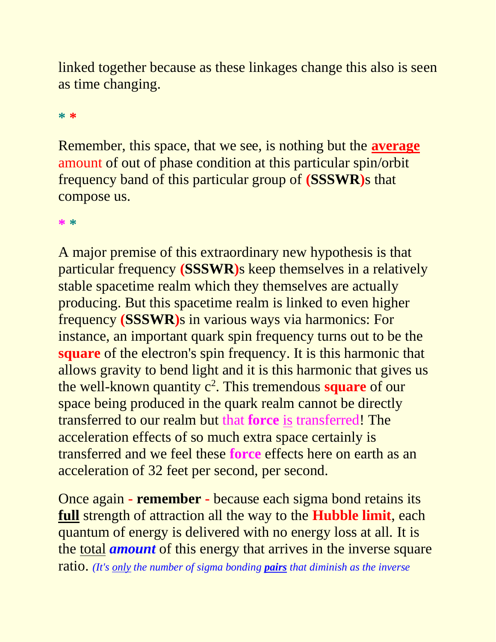linked together because as these linkages change this also is seen as time changing.

#### **\* \***

Remember, this space, that we see, is nothing but the **average** amount of out of phase condition at this particular spin/orbit frequency band of this particular group of **(SSSWR)**s that compose us.

**\* \***

A major premise of this extraordinary new hypothesis is that particular frequency **(SSSWR)**s keep themselves in a relatively stable spacetime realm which they themselves are actually producing. But this spacetime realm is linked to even higher frequency **(SSSWR)**s in various ways via harmonics: For instance, an important quark spin frequency turns out to be the **square** of the electron's spin frequency. It is this harmonic that allows gravity to bend light and it is this harmonic that gives us the well-known quantity c<sup>2</sup>. This tremendous **square** of our space being produced in the quark realm cannot be directly transferred to our realm but that **force** is transferred! The acceleration effects of so much extra space certainly is transferred and we feel these **force** effects here on earth as an acceleration of 32 feet per second, per second.

Once again **- remember -** because each sigma bond retains its **full** strength of attraction all the way to the **Hubble limit**, each quantum of energy is delivered with no energy loss at all. It is the total *amount* of this energy that arrives in the inverse square ratio. *(It's only the number of sigma bonding pairs that diminish as the inverse*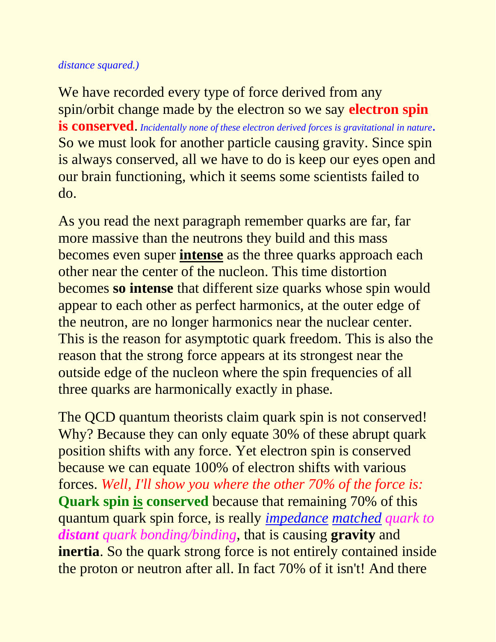#### *distance squared.)*

We have recorded every type of force derived from any spin/orbit change made by the electron so we say **electron spin is conserved**. *Incidentally none of these electron derived forces is gravitational in nature.*  So we must look for another particle causing gravity. Since spin is always conserved, all we have to do is keep our eyes open and our brain functioning, which it seems some scientists failed to do.

As you read the next paragraph remember quarks are far, far more massive than the neutrons they build and this mass becomes even super **intense** as the three quarks approach each other near the center of the nucleon. This time distortion becomes **so intense** that different size quarks whose spin would appear to each other as perfect harmonics, at the outer edge of the neutron, are no longer harmonics near the nuclear center. This is the reason for asymptotic quark freedom. This is also the reason that the strong force appears at its strongest near the outside edge of the nucleon where the spin frequencies of all three quarks are harmonically exactly in phase.

The QCD quantum theorists claim quark spin is not conserved! Why? Because they can only equate 30% of these abrupt quark position shifts with any force. Yet electron spin is conserved because we can equate 100% of electron shifts with various forces. *Well, I'll show you where the other 70% of the force is:* **Quark spin is conserved** because that remaining 70% of this quantum quark spin force, is really *impedance matched quark to distant quark bonding/binding*, that is causing **gravity** and **inertia**. So the quark strong force is not entirely contained inside the proton or neutron after all. In fact 70% of it isn't! And there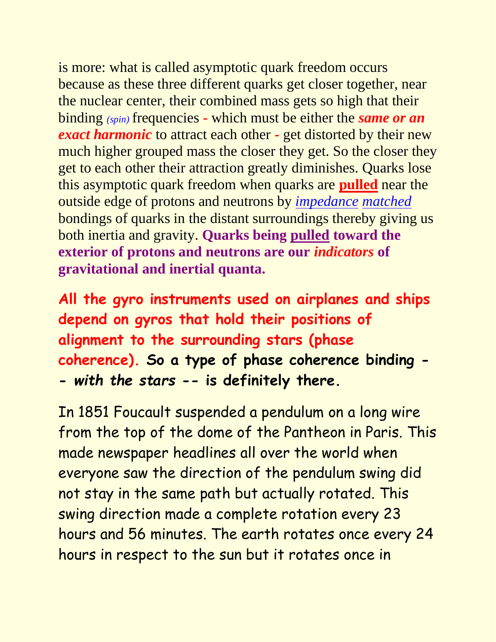is more: what is called asymptotic quark freedom occurs because as these three different quarks get closer together, near the nuclear center, their combined mass gets so high that their binding *(spin)* frequencies **-** which must be either the *same or an exact harmonic* to attract each other **-** get distorted by their new much higher grouped mass the closer they get. So the closer they get to each other their attraction greatly diminishes. Quarks lose this asymptotic quark freedom when quarks are **pulled** near the outside edge of protons and neutrons by *impedance matched* bondings of quarks in the distant surroundings thereby giving us both inertia and gravity. **Quarks being pulled toward the exterior of protons and neutrons are our** *indicators* **of gravitational and inertial quanta.**

**All the gyro instruments used on airplanes and ships depend on gyros that hold their positions of alignment to the surrounding stars (phase coherence). So a type of phase coherence binding - -** *with the stars* **-- is definitely there.**

In 1851 Foucault suspended a pendulum on a long wire from the top of the dome of the Pantheon in Paris. This made newspaper headlines all over the world when everyone saw the direction of the pendulum swing did not stay in the same path but actually rotated. This swing direction made a complete rotation every 23 hours and 56 minutes. The earth rotates once every 24 hours in respect to the sun but it rotates once in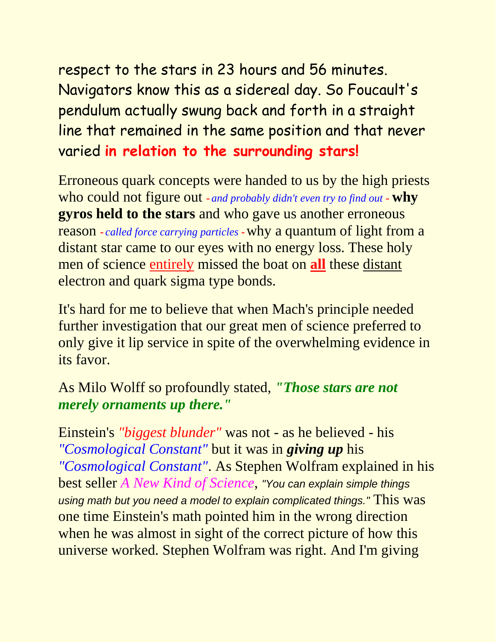respect to the stars in 23 hours and 56 minutes. Navigators know this as a sidereal day. So Foucault's pendulum actually swung back and forth in a straight line that remained in the same position and that never varied **in relation to the surrounding stars!**

Erroneous quark concepts were handed to us by the high priests who could not figure out **-** *and probably didn't even try to find out* **- why gyros held to the stars** and who gave us another erroneous reason **-** *called force carrying particles* **-**why a quantum of light from a distant star came to our eyes with no energy loss. These holy men of science entirely missed the boat on **all** these distant electron and quark sigma type bonds.

It's hard for me to believe that when Mach's principle needed further investigation that our great men of science preferred to only give it lip service in spite of the overwhelming evidence in its favor.

### As Milo Wolff so profoundly stated, *"Those stars are not merely ornaments up there."*

Einstein's *"biggest blunder"* was not - as he believed - his *"Cosmological Constant"* but it was in *giving up* his *"Cosmological Constant"*. As Stephen Wolfram explained in his best seller *A New Kind of Science*, *"You can explain simple things using math but you need a model to explain complicated things."* This was one time Einstein's math pointed him in the wrong direction when he was almost in sight of the correct picture of how this universe worked. Stephen Wolfram was right. And I'm giving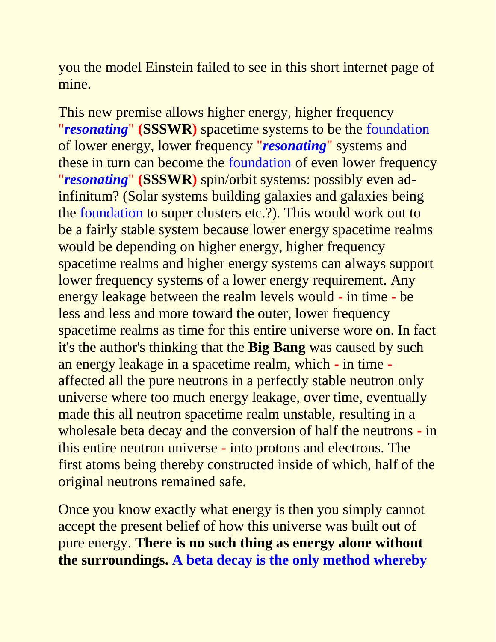you the model Einstein failed to see in this short internet page of mine.

This new premise allows higher energy, higher frequency "*resonating*" **(SSSWR)** spacetime systems to be the foundation of lower energy, lower frequency "*resonating*" systems and these in turn can become the foundation of even lower frequency "*resonating*" **(SSSWR)** spin/orbit systems: possibly even adinfinitum? (Solar systems building galaxies and galaxies being the foundation to super clusters etc.?). This would work out to be a fairly stable system because lower energy spacetime realms would be depending on higher energy, higher frequency spacetime realms and higher energy systems can always support lower frequency systems of a lower energy requirement. Any energy leakage between the realm levels would **-** in time **-** be less and less and more toward the outer, lower frequency spacetime realms as time for this entire universe wore on. In fact it's the author's thinking that the **Big Bang** was caused by such an energy leakage in a spacetime realm, which **-** in time  affected all the pure neutrons in a perfectly stable neutron only universe where too much energy leakage, over time, eventually made this all neutron spacetime realm unstable, resulting in a wholesale beta decay and the conversion of half the neutrons **-** in this entire neutron universe **-** into protons and electrons. The first atoms being thereby constructed inside of which, half of the original neutrons remained safe.

Once you know exactly what energy is then you simply cannot accept the present belief of how this universe was built out of pure energy. **There is no such thing as energy alone without the surroundings. A beta decay is the only method whereby**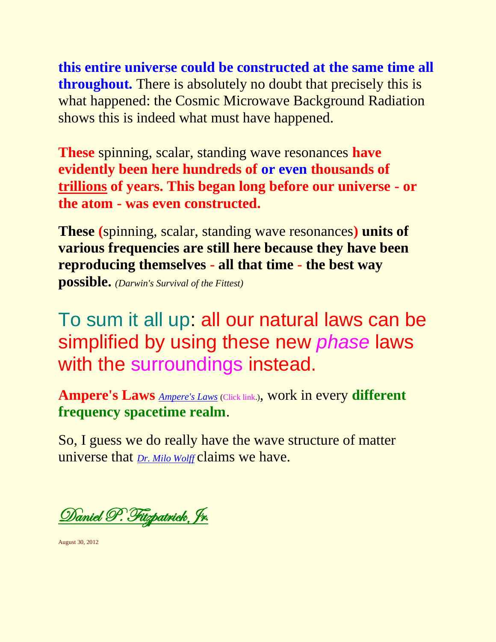**this entire universe could be constructed at the same time all throughout.** There is absolutely no doubt that precisely this is what happened: the Cosmic Microwave Background Radiation shows this is indeed what must have happened.

**These** spinning, scalar, standing wave resonances **have evidently been here hundreds of or even thousands of trillions of years. This began long before our universe - or the atom - was even constructed.**

**These (**spinning, scalar, standing wave resonances**) units of various frequencies are still here because they have been reproducing themselves - all that time - the best way possible.** *(Darwin's Survival of the Fittest)*

To sum it all up: all our natural laws can be simplified by using these new *phase* laws with the surroundings instead.

**Ampere's Laws** *[Ampere's Laws](http://www.rbduncan.com/Ampere)* (Click link.), work in every **different frequency spacetime realm**.

So, I guess we do really have the wave structure of matter universe that *[Dr. Milo Wolff](http://www.quantummatter.com/)* claims we have.

[Daniel P. Fitzpatrick Jr](http://www.worldsci.org/php/index.php?tab0=Scientists&tab1=Display&id=1842)**.** 

August 30, 2012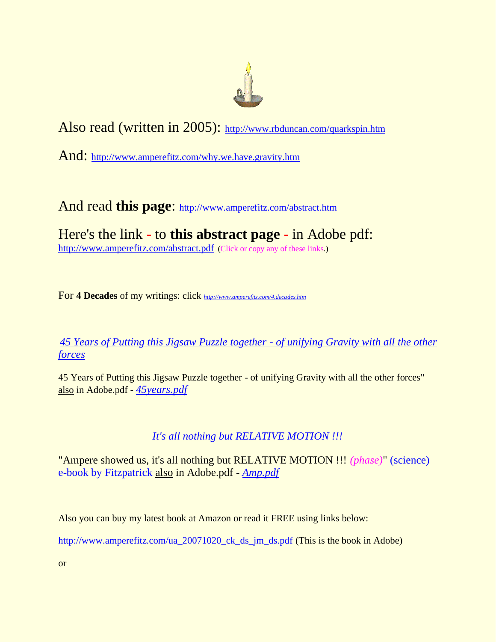

Also read (written in 2005): <http://www.rbduncan.com/quarkspin.htm>

And: <http://www.amperefitz.com/why.we.have.gravity.htm>

And read **this page**: <http://www.amperefitz.com/abstract.htm>

Here's the link **-** to **this abstract page -** in Adobe pdf: <http://www.amperefitz.com/abstract.pdf> (Click or copy any of these links.)

For **4 Decades** of my writings: click *<http://www.amperefitz.com/4.decades.htm>*

*[45 Years of Putting this Jigsaw Puzzle together -](http://www.amperefitz.com/45years.htm) of unifying Gravity with all the other [forces](http://www.amperefitz.com/45years.htm)*

45 Years of Putting this Jigsaw Puzzle together - of unifying Gravity with all the other forces" also in Adobe.pdf - *[45years.pdf](http://www.amperefitz.com/45years.pdf)*

#### *[It's all nothing but RELATIVE MOTION !!!](http://www.amperefitz.com/Amp.htm)*

"Ampere showed us, it's all nothing but RELATIVE MOTION !!! *(phase)*" (science) e-book by Fitzpatrick also in Adobe.pdf - *[Amp.pdf](http://amperefitz.com/Amp.pdf)*

Also you can buy my latest book at Amazon or read it FREE using links below:

[http://www.amperefitz.com/ua\\_20071020\\_ck\\_ds\\_jm\\_ds.pdf](http://www.amperefitz.com/ua_20071020_ck_ds_jm_ds.pdf) (This is the book in Adobe)

or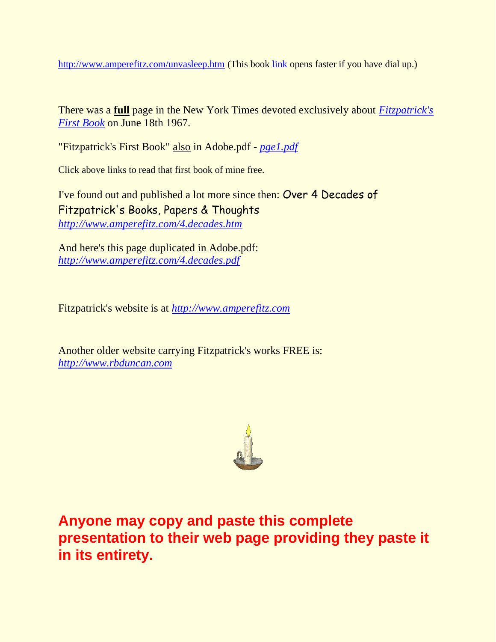<http://www.amperefitz.com/unvasleep.htm> (This book link opens faster if you have dial up.)

There was a **full** page in the New York Times devoted exclusively about *[Fitzpatrick's](http://www.rbduncan.com/pge1.html)  [First Book](http://www.rbduncan.com/pge1.html)* on June 18th 1967.

"Fitzpatrick's First Book" also in Adobe.pdf - *[pge1.pdf](http://www.rbduncan.com/pge1.pdf)*

Click above links to read that first book of mine free.

I've found out and published a lot more since then: Over 4 Decades of Fitzpatrick's Books, Papers & Thoughts *<http://www.amperefitz.com/4.decades.htm>*

And here's this page duplicated in Adobe.pdf: *[http://www.amperefitz.com/4.decades.pdf](http://amperefitz.com/4.decades.pdf)*

Fitzpatrick's website is at *[http://www.amperefitz.com](http://www.amperefitz.com/)*

Another older website carrying Fitzpatrick's works FREE is: *[http://www.rbduncan.com](http://www.rbduncan.com/)*



**Anyone may copy and paste this complete presentation to their web page providing they paste it in its entirety.**